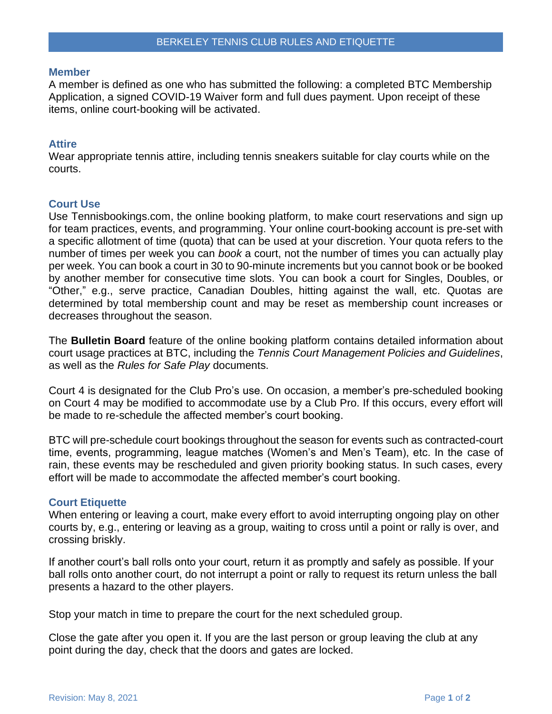#### **Member**

A member is defined as one who has submitted the following: a completed BTC Membership Application, a signed COVID-19 Waiver form and full dues payment. Upon receipt of these items, online court-booking will be activated.

# **Attire**

Wear appropriate tennis attire, including tennis sneakers suitable for clay courts while on the courts.

# **Court Use**

Use Tennisbookings.com, the online booking platform, to make court reservations and sign up for team practices, events, and programming. Your online court-booking account is pre-set with a specific allotment of time (quota) that can be used at your discretion. Your quota refers to the number of times per week you can *book* a court, not the number of times you can actually play per week. You can book a court in 30 to 90-minute increments but you cannot book or be booked by another member for consecutive time slots. You can book a court for Singles, Doubles, or "Other," e.g., serve practice, Canadian Doubles, hitting against the wall, etc. Quotas are determined by total membership count and may be reset as membership count increases or decreases throughout the season.

The **Bulletin Board** feature of the online booking platform contains detailed information about court usage practices at BTC, including the *Tennis Court Management Policies and Guidelines*, as well as the *Rules for Safe Play* documents.

Court 4 is designated for the Club Pro's use. On occasion, a member's pre-scheduled booking on Court 4 may be modified to accommodate use by a Club Pro. If this occurs, every effort will be made to re-schedule the affected member's court booking.

BTC will pre-schedule court bookings throughout the season for events such as contracted-court time, events, programming, league matches (Women's and Men's Team), etc. In the case of rain, these events may be rescheduled and given priority booking status. In such cases, every effort will be made to accommodate the affected member's court booking.

### **Court Etiquette**

When entering or leaving a court, make every effort to avoid interrupting ongoing play on other courts by, e.g., entering or leaving as a group, waiting to cross until a point or rally is over, and crossing briskly.

If another court's ball rolls onto your court, return it as promptly and safely as possible. If your ball rolls onto another court, do not interrupt a point or rally to request its return unless the ball presents a hazard to the other players.

Stop your match in time to prepare the court for the next scheduled group.

Close the gate after you open it. If you are the last person or group leaving the club at any point during the day, check that the doors and gates are locked.